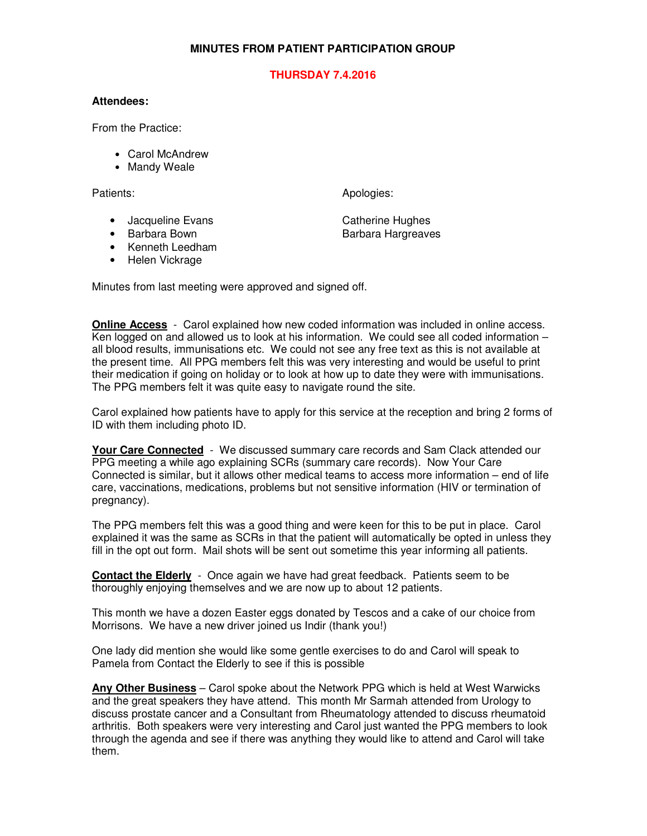## **MINUTES FROM PATIENT PARTICIPATION GROUP**

## **THURSDAY 7.4.2016**

## **Attendees:**

From the Practice:

- Carol McAndrew
- Mandy Weale

Patients: Apologies: Apologies: Apologies: Apologies: Apologies: Apologies: Apologies: Apologies: Apologies: Apologies: Apologies: Apologies: Apologies: Apologies: Apologies: Apologies: Apologies: Apologies: Apologies: Apo

- Jacqueline Evans Catherine Hughes
- Barbara Bown Barbara Hargreaves
- Kenneth Leedham
- 
- Helen Vickrage

Minutes from last meeting were approved and signed off.

**Online Access** - Carol explained how new coded information was included in online access. Ken logged on and allowed us to look at his information. We could see all coded information – all blood results, immunisations etc. We could not see any free text as this is not available at the present time. All PPG members felt this was very interesting and would be useful to print their medication if going on holiday or to look at how up to date they were with immunisations. The PPG members felt it was quite easy to navigate round the site.

Carol explained how patients have to apply for this service at the reception and bring 2 forms of ID with them including photo ID.

**Your Care Connected** - We discussed summary care records and Sam Clack attended our PPG meeting a while ago explaining SCRs (summary care records). Now Your Care Connected is similar, but it allows other medical teams to access more information – end of life care, vaccinations, medications, problems but not sensitive information (HIV or termination of pregnancy).

The PPG members felt this was a good thing and were keen for this to be put in place. Carol explained it was the same as SCRs in that the patient will automatically be opted in unless they fill in the opt out form. Mail shots will be sent out sometime this year informing all patients.

**Contact the Elderly** - Once again we have had great feedback. Patients seem to be thoroughly enjoying themselves and we are now up to about 12 patients.

This month we have a dozen Easter eggs donated by Tescos and a cake of our choice from Morrisons. We have a new driver joined us Indir (thank you!)

One lady did mention she would like some gentle exercises to do and Carol will speak to Pamela from Contact the Elderly to see if this is possible

**Any Other Business** – Carol spoke about the Network PPG which is held at West Warwicks and the great speakers they have attend. This month Mr Sarmah attended from Urology to discuss prostate cancer and a Consultant from Rheumatology attended to discuss rheumatoid arthritis. Both speakers were very interesting and Carol just wanted the PPG members to look through the agenda and see if there was anything they would like to attend and Carol will take them.